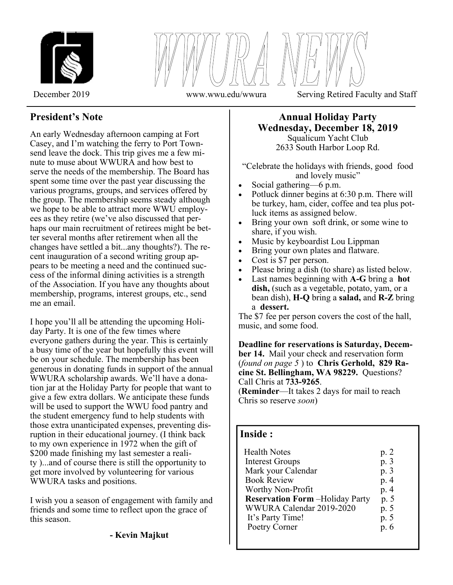

December 2019 www.wwu.edu/wwura Serving Retired Faculty and Staff

# **President's Note**

An early Wednesday afternoon camping at Fort Casey, and I'm watching the ferry to Port Townsend leave the dock. This trip gives me a few minute to muse about WWURA and how best to serve the needs of the membership. The Board has spent some time over the past year discussing the various programs, groups, and services offered by the group. The membership seems steady although we hope to be able to attract more WWU employees as they retire (we've also discussed that perhaps our main recruitment of retirees might be better several months after retirement when all the changes have settled a bit...any thoughts?). The recent inauguration of a second writing group appears to be meeting a need and the continued success of the informal dining activities is a strength of the Association. If you have any thoughts about membership, programs, interest groups, etc., send me an email.

I hope you'll all be attending the upcoming Holiday Party. It is one of the few times where everyone gathers during the year. This is certainly a busy time of the year but hopefully this event will be on your schedule. The membership has been generous in donating funds in support of the annual WWURA scholarship awards. We'll have a donation jar at the Holiday Party for people that want to give a few extra dollars. We anticipate these funds will be used to support the WWU food pantry and the student emergency fund to help students with those extra unanticipated expenses, preventing disruption in their educational journey. (I think back to my own experience in 1972 when the gift of \$200 made finishing my last semester a reality )...and of course there is still the opportunity to get more involved by volunteering for various WWURA tasks and positions.

I wish you a season of engagement with family and friends and some time to reflect upon the grace of this season.

### **Annual Holiday Party Wednesday, December 18, 2019**  Squalicum Yacht Club

2633 South Harbor Loop Rd.

"Celebrate the holidays with friends, good food and lovely music"

- Social gathering—6 p.m.
- Potluck dinner begins at 6:30 p.m. There will be turkey, ham, cider, coffee and tea plus potluck items as assigned below.
- Bring your own soft drink, or some wine to share, if you wish.
- Music by keyboardist Lou Lippman
- Bring your own plates and flatware.
- Cost is \$7 per person.
- Please bring a dish (to share) as listed below.
- Last names beginning with **A-G** bring a **hot**  dish, (such as a vegetable, potato, yam, or a bean dish), **H-Q** bring a **salad,** and **R-Z** bring a **dessert.**

The \$7 fee per person covers the cost of the hall, music, and some food.

**Deadline for reservations is Saturday, December 14.** Mail your check and reservation form (*found on page 5* ) to **Chris Gerhold, 829 Racine St. Bellingham, WA 98229.** Questions? Call Chris at **733-9265**. (**Reminder**—It takes 2 days for mail to reach

Chris so reserve *soon*)

## **Inside :**

I L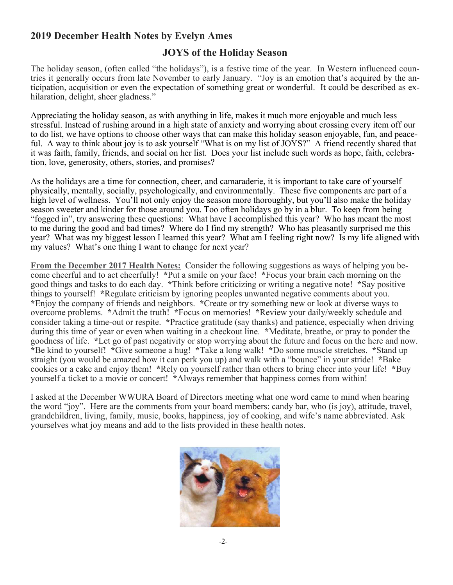# **2019 December Health Notes by Evelyn Ames**

# **JOYS of the Holiday Season**

The holiday season, (often called "the holidays"), is a festive time of the year. In Western influenced countries it generally occurs from late November to early January. "Joy is an emotion that's acquired by the anticipation, acquisition or even the expectation of something great or wonderful. It could be described as exhilaration, delight, sheer gladness."

Appreciating the holiday season, as with anything in life, makes it much more enjoyable and much less stressful. Instead of rushing around in a high state of anxiety and worrying about crossing every item off our to do list, we have options to choose other ways that can make this holiday season enjoyable, fun, and peaceful. A way to think about joy is to ask yourself "What is on my list of JOYS?" A friend recently shared that it was faith, family, friends, and social on her list. Does your list include such words as hope, faith, celebration, love, generosity, others, stories, and promises?

As the holidays are a time for connection, cheer, and camaraderie, it is important to take care of yourself physically, mentally, socially, psychologically, and environmentally. These five components are part of a high level of wellness. You'll not only enjoy the season more thoroughly, but you'll also make the holiday season sweeter and kinder for those around you. Too often holidays go by in a blur. To keep from being "fogged in", try answering these questions: What have I accomplished this year? Who has meant the most to me during the good and bad times? Where do I find my strength? Who has pleasantly surprised me this year? What was my biggest lesson I learned this year? What am I feeling right now? Is my life aligned with my values? What's one thing I want to change for next year?

**From the December 2017 Health Notes:** Consider the following suggestions as ways of helping you become cheerful and to act cheerfully! **\***Put a smile on your face! **\***Focus your brain each morning on the good things and tasks to do each day. **\***Think before criticizing or writing a negative note! **\***Say positive things to yourself! **\***Regulate criticism by ignoring peoples unwanted negative comments about you. **\***Enjoy the company of friends and neighbors. **\***Create or try something new or look at diverse ways to overcome problems. **\***Admit the truth! **\***Focus on memories! **\***Review your daily/weekly schedule and consider taking a time-out or respite. **\***Practice gratitude (say thanks) and patience, especially when driving during this time of year or even when waiting in a checkout line. **\***Meditate, breathe, or pray to ponder the goodness of life. **\***Let go of past negativity or stop worrying about the future and focus on the here and now. **\***Be kind to yourself! **\***Give someone a hug! **\***Take a long walk! **\***Do some muscle stretches. **\***Stand up straight (you would be amazed how it can perk you up) and walk with a "bounce" in your stride! **\***Bake cookies or a cake and enjoy them! **\***Rely on yourself rather than others to bring cheer into your life! **\***Buy yourself a ticket to a movie or concert! **\***Always remember that happiness comes from within!

I asked at the December WWURA Board of Directors meeting what one word came to mind when hearing the word "joy". Here are the comments from your board members: candy bar, who (is joy), attitude, travel, grandchildren, living, family, music, books, happiness, joy of cooking, and wife's name abbreviated. Ask yourselves what joy means and add to the lists provided in these health notes.

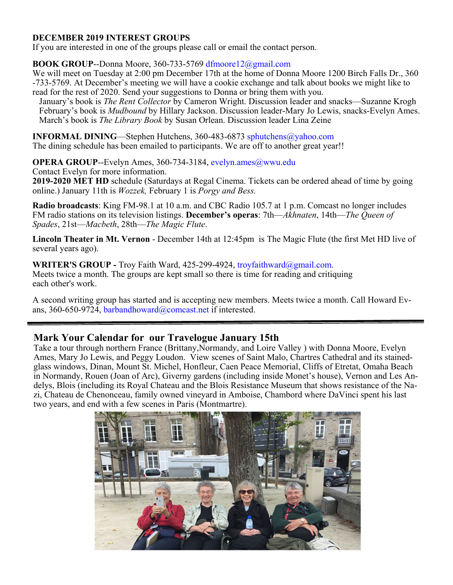## **DECEMBER 2019 INTEREST GROUPS**

If you are interested in one of the groups please call or email the contact person.

## **BOOK GROUP**--Donna Moore, 360-733-5769 dfmoore12@gmail.com

We will meet on Tuesday at 2:00 pm December 17th at the home of Donna Moore 1200 Birch Falls Dr., 360 -733-5769. At December's meeting we will have a cookie exchange and talk about books we might like to read for the rest of 2020. Send your suggestions to Donna or bring them with you.

 January's book is *The Rent Collector* by Cameron Wright. Discussion leader and snacks—Suzanne Krogh February's book is *Mudbound* by Hillary Jackson. Discussion leader-Mary Jo Lewis, snacks-Evelyn Ames. March's book is *The Library Book* by Susan Orlean. Discussion leader Lina Zeine

**INFORMAL DINING**—Stephen Hutchens, 360-483-6873 sphutchens@yahoo.com

The dining schedule has been emailed to participants. We are off to another great year!!

**OPERA GROUP--Evelyn Ames, 360-734-3184, evelyn.ames@wwu.edu** Contact Evelyn for more information.

**2019-2020 MET HD** schedule (Saturdays at Regal Cinema. Tickets can be ordered ahead of time by going online.) January 11th is *Wozzek,* February 1 is *Porgy and Bess.*

**Radio broadcasts**: King FM-98.1 at 10 a.m. and CBC Radio 105.7 at 1 p.m. Comcast no longer includes FM radio stations on its television listings. **December's operas**: 7th—*Akhnaten*, 14th—*The Queen of Spades*, 21st—*Macbeth*, 28th—*The Magic Flute*.

**Lincoln Theater in Mt. Vernon** - December 14th at 12:45pm is The Magic Flute (the first Met HD live of several years ago).

WRITER'S GROUP - Troy Faith Ward, 425-299-4924, troyfaithward@gmail.com. Meets twice a month. The groups are kept small so there is time for reading and critiquing each other's work.

A second writing group has started and is accepting new members. Meets twice a month. Call Howard Evans, 360-650-9724, barbandhoward@comcast.net if interested.

## **Mark Your Calendar for our Travelogue January 15th**

Take a tour through northern France (Brittany,Normandy, and Loire Valley ) with Donna Moore, Evelyn Ames, Mary Jo Lewis, and Peggy Loudon. View scenes of Saint Malo, Chartres Cathedral and its stainedglass windows, Dinan, Mount St. Michel, Honfleur, Caen Peace Memorial, Cliffs of Etretat, Omaha Beach in Normandy, Rouen (Joan of Arc), Giverny gardens (including inside Monet's house), Vernon and Les Andelys, Blois (including its Royal Chateau and the Blois Resistance Museum that shows resistance of the Nazi, Chateau de Chenonceau, family owned vineyard in Amboise, Chambord where DaVinci spent his last two years, and end with a few scenes in Paris (Montmartre).

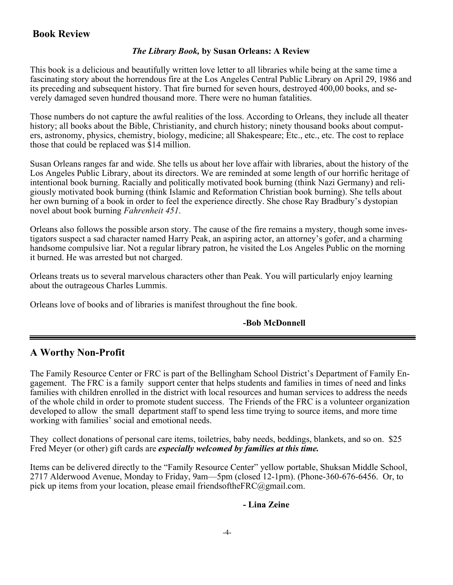# **Book Review**

### *The Library Book,* **by Susan Orleans: A Review**

This book is a delicious and beautifully written love letter to all libraries while being at the same time a fascinating story about the horrendous fire at the Los Angeles Central Public Library on April 29, 1986 and its preceding and subsequent history. That fire burned for seven hours, destroyed 400,00 books, and severely damaged seven hundred thousand more. There were no human fatalities.

Those numbers do not capture the awful realities of the loss. According to Orleans, they include all theater history; all books about the Bible, Christianity, and church history; ninety thousand books about computers, astronomy, physics, chemistry, biology, medicine; all Shakespeare; Etc., etc., etc. The cost to replace those that could be replaced was \$14 million.

Susan Orleans ranges far and wide. She tells us about her love affair with libraries, about the history of the Los Angeles Public Library, about its directors. We are reminded at some length of our horrific heritage of intentional book burning. Racially and politically motivated book burning (think Nazi Germany) and religiously motivated book burning (think Islamic and Reformation Christian book burning). She tells about her own burning of a book in order to feel the experience directly. She chose Ray Bradbury's dystopian novel about book burning *Fahrenheit 451*.

Orleans also follows the possible arson story. The cause of the fire remains a mystery, though some investigators suspect a sad character named Harry Peak, an aspiring actor, an attorney's gofer, and a charming handsome compulsive liar. Not a regular library patron, he visited the Los Angeles Public on the morning it burned. He was arrested but not charged.

Orleans treats us to several marvelous characters other than Peak. You will particularly enjoy learning about the outrageous Charles Lummis.

Orleans love of books and of libraries is manifest throughout the fine book.

## **-Bob McDonnell**

## **A Worthy Non-Profit**

The Family Resource Center or FRC is part of the Bellingham School District's Department of Family Engagement. The FRC is a family support center that helps students and families in times of need and links families with children enrolled in the district with local resources and human services to address the needs of the whole child in order to promote student success. The Friends of the FRC is a volunteer organization developed to allow the small department staff to spend less time trying to source items, and more time working with families' social and emotional needs.

They collect donations of personal care items, toiletries, baby needs, beddings, blankets, and so on. \$25 Fred Meyer (or other) gift cards are *especially welcomed by families at this time.* 

Items can be delivered directly to the "Family Resource Center" yellow portable, Shuksan Middle School, 2717 Alderwood Avenue, Monday to Friday, 9am—5pm (closed 12-1pm). (Phone-360-676-6456. Or, to pick up items from your location, please email friendsofthe $FRC(\hat{\omega})$ gmail.com.

### **- Lina Zeine**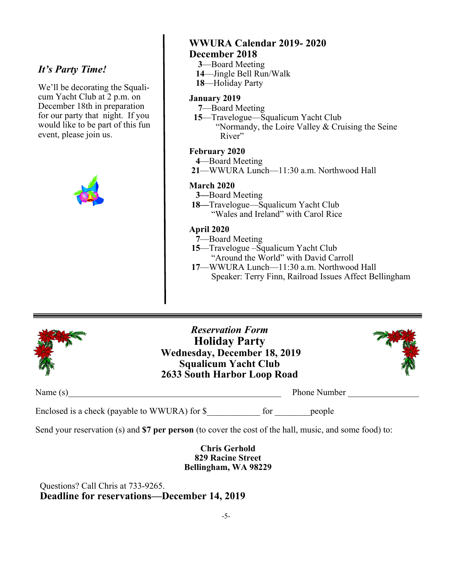## *It's Party Time!*

We'll be decorating the Squalicum Yacht Club at 2 p.m. on December 18th in preparation for our party that night. If you would like to be part of this fun event, please join us.



## **WWURA Calendar 2019- 2020 December 2018**

- **3**—Board Meeting
- **14**—Jingle Bell Run/Walk
- **18**—Holiday Party

### **January 2019**

- **7**—Board Meeting
- **15**—Travelogue—Squalicum Yacht Club

 "Normandy, the Loire Valley & Cruising the Seine River"

#### **February 2020**

- **4**—Board Meeting
- **21**—WWURA Lunch—11:30 a.m. Northwood Hall

#### **March 2020**

- **3—**Board Meeting
- **18—**Travelogue—Squalicum Yacht Club "Wales and Ireland" with Carol Rice

#### **April 2020**

- **7**—Board Meeting
- **15**—Travelogue –Squalicum Yacht Club "Around the World" with David Carroll
- **17**—WWURA Lunch—11:30 a.m. Northwood Hall Speaker: Terry Finn, Railroad Issues Affect Bellingham



*Reservation Form*  **Holiday Party Wednesday, December 18, 2019 Squalicum Yacht Club 2633 South Harbor Loop Road** 



Name (s) Phone Number Phone Number Phone Number Phone Number Phone Number  $\sim$ 

Enclosed is a check (payable to WWURA) for \$\_\_\_\_\_\_\_\_\_\_\_\_\_ for \_\_\_\_\_\_\_\_\_ people

Send your reservation (s) and **\$7 per person** (to cover the cost of the hall, music, and some food) to:

**Chris Gerhold 829 Racine Street Bellingham, WA 98229** 

 Questions? Call Chris at 733-9265.  **Deadline for reservations—December 14, 2019**